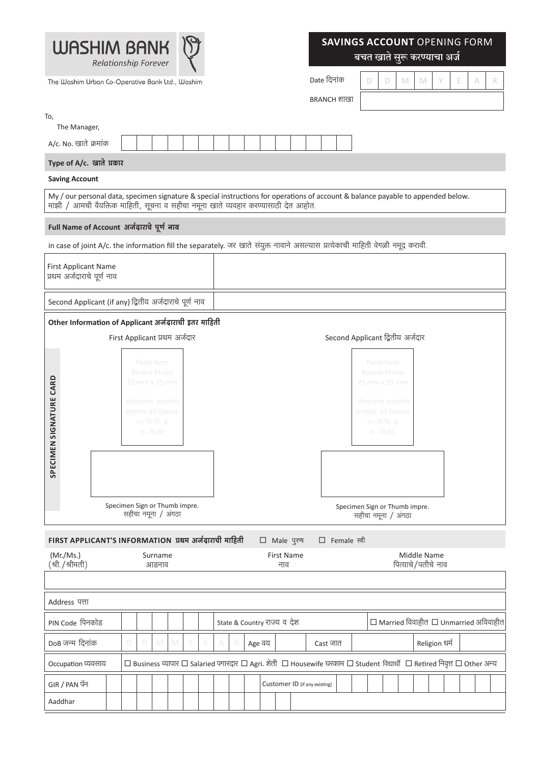

The Washim Urban Co-Operative Bank Ltd., Washim

## **SAVINGS ACCOUNT OPENING FORM**

बचत खाते सुरू करण्याचा अर्ज

Date दिनांक

 $BRANCH$  शाखा

|  | N | 1V | $\sim$<br>E |  |
|--|---|----|-------------|--|
|  |   |    |             |  |

| To,                                                                                |  |   |                                                                                                          |                  |                               |   |   |        |                               |  |                 |                                                                                                                                  |
|------------------------------------------------------------------------------------|--|---|----------------------------------------------------------------------------------------------------------|------------------|-------------------------------|---|---|--------|-------------------------------|--|-----------------|----------------------------------------------------------------------------------------------------------------------------------|
| The Manager,                                                                       |  |   |                                                                                                          |                  |                               |   |   |        |                               |  |                 |                                                                                                                                  |
| A/c. No. खाते क्रमांक                                                              |  |   |                                                                                                          |                  |                               |   |   |        |                               |  |                 |                                                                                                                                  |
| Type of A/c. खाते प्रकार                                                           |  |   |                                                                                                          |                  |                               |   |   |        |                               |  |                 |                                                                                                                                  |
| <b>Saving Account</b>                                                              |  |   |                                                                                                          |                  |                               |   |   |        |                               |  |                 |                                                                                                                                  |
| माझी / आमची वैयक्तिक माहिती, सूचना व सहीचा नमूना खाते व्यवहार करण्यासाठी देत आहोत. |  |   |                                                                                                          |                  |                               |   |   |        |                               |  |                 | My / our personal data, specimen signature & special instructions for operations of account & balance payable to appended below. |
| Full Name of Account अर्जदाराचे पूर्ण नाव                                          |  |   |                                                                                                          |                  |                               |   |   |        |                               |  |                 |                                                                                                                                  |
|                                                                                    |  |   |                                                                                                          |                  |                               |   |   |        |                               |  |                 | in case of joint A/c. the information fill the separately. जर खाते संयुक्त नावाने असल्यास प्रत्येकाची माहिती वेगळी नमूद करावी.   |
| First Applicant Name<br>प्रथम अर्जदाराचे पूर्ण नाव                                 |  |   |                                                                                                          |                  |                               |   |   |        |                               |  |                 |                                                                                                                                  |
| Second Applicant (if any) द्वितीय अर्जदाराचे पूर्ण नाव                             |  |   |                                                                                                          |                  |                               |   |   |        |                               |  |                 |                                                                                                                                  |
| Other Information of Applicant अर्जदाराची इतर माहिती                               |  |   |                                                                                                          |                  |                               |   |   |        |                               |  |                 |                                                                                                                                  |
|                                                                                    |  |   |                                                                                                          |                  | First Applicant प्रथम अर्जदार |   |   |        |                               |  |                 | Second Applicant द्वितीय अर्जदार                                                                                                 |
| SPECIMEN SIGNATURE CARD                                                            |  |   | Paste here<br>Recent Photo<br>25 mm x 35 mm<br>अलिकडच्या काळातील<br>छायाचित्र येथे चिकटवा<br>२५ मि.मि. X | ३५ मि.मि.        |                               |   |   |        |                               |  |                 | Paste here<br>Recent Photo<br>25 mm x 35 mm<br>अलिकडच्या काळातील<br>छायाचित्र येथे चिकटवा<br>२५ मि.मि. X<br>३५ मि.मि.            |
|                                                                                    |  |   | सहीचा नमूना / अंगठा                                                                                      |                  | Specimen Sign or Thumb impre. |   |   |        |                               |  |                 | Specimen Sign or Thumb impre.<br>सहीचा नमूना / अंगठा                                                                             |
| FIRST APPLICANT'S INFORMATION प्रथम अर्जदाराची माहिती                              |  |   |                                                                                                          |                  |                               |   |   |        | □ Male पुरुष                  |  | □ Female स्त्री |                                                                                                                                  |
| (Mr./Ms.)<br>(श्री./श्रीमती)                                                       |  |   |                                                                                                          | Surname<br>आडनाव |                               |   |   |        | First Name<br>नाव             |  |                 | Middle Name<br>पित्याचे/पतीचे नाव                                                                                                |
|                                                                                    |  |   |                                                                                                          |                  |                               |   |   |        |                               |  |                 |                                                                                                                                  |
| Address पत्ता                                                                      |  |   |                                                                                                          |                  |                               |   |   |        |                               |  |                 |                                                                                                                                  |
| PIN Code पिनकोड                                                                    |  |   |                                                                                                          |                  |                               |   |   |        | State & Country राज्य व देश   |  |                 | $\Box$ Married विवाहीत $\Box$ Unmarried अविवाहीत                                                                                 |
| DoB जन्म दिनांक                                                                    |  | D | D                                                                                                        | M                | M                             | Ŀ | A | Age वय |                               |  | Cast जात        | Religion धर्म                                                                                                                    |
| Occupation व्यवसाय                                                                 |  |   |                                                                                                          |                  |                               |   |   |        |                               |  |                 | □ Business व्यापार □ Salaried पगारदार □ Agri. शेती □ Housewife घरकाम □ Student विद्यार्थी □ Retired निवृत्त □ Other अन्य         |
| GIR / PAN पॅन                                                                      |  |   |                                                                                                          |                  |                               |   |   |        | Customer ID (if any existing) |  |                 |                                                                                                                                  |
| Aaddhar                                                                            |  |   |                                                                                                          |                  |                               |   |   |        |                               |  |                 |                                                                                                                                  |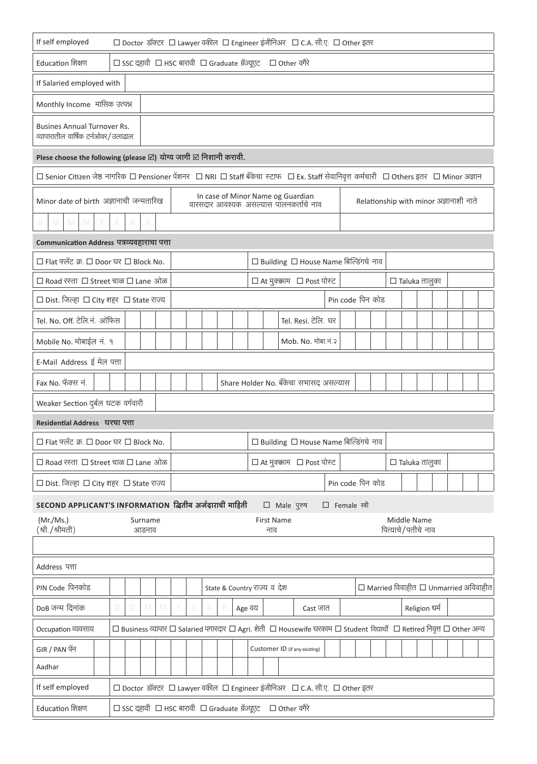| If self employed                                                                                                                                 | □ Doctor डॉक्टर □ Lawyer वकील □ Engineer इंजीनिअर □ C.A. सी.ए. □ Other इतर                                               |                  |   |  |        |                                      |        |                                                                             |                                                  |          |                      |                      |                                                  |  |  |                                   |  |  |  |
|--------------------------------------------------------------------------------------------------------------------------------------------------|--------------------------------------------------------------------------------------------------------------------------|------------------|---|--|--------|--------------------------------------|--------|-----------------------------------------------------------------------------|--------------------------------------------------|----------|----------------------|----------------------|--------------------------------------------------|--|--|-----------------------------------|--|--|--|
| Education शिक्षण<br>□ SSC दहावी □ HSC बारावी □ Graduate ग्रॅज्यूएट □ Other वगैरे                                                                 |                                                                                                                          |                  |   |  |        |                                      |        |                                                                             |                                                  |          |                      |                      |                                                  |  |  |                                   |  |  |  |
|                                                                                                                                                  | If Salaried employed with                                                                                                |                  |   |  |        |                                      |        |                                                                             |                                                  |          |                      |                      |                                                  |  |  |                                   |  |  |  |
| Monthly Income मासिक उत्पन्न                                                                                                                     |                                                                                                                          |                  |   |  |        |                                      |        |                                                                             |                                                  |          |                      |                      |                                                  |  |  |                                   |  |  |  |
| <b>Busines Annual Turnover Rs.</b><br>व्यापारातील वार्षिक टर्नओवर/उलाढाल                                                                         |                                                                                                                          |                  |   |  |        |                                      |        |                                                                             |                                                  |          |                      |                      |                                                  |  |  |                                   |  |  |  |
| Plese choose the following (please $\boxtimes$ ) योग्य जागी $\boxtimes$ निशानी करावी.                                                            |                                                                                                                          |                  |   |  |        |                                      |        |                                                                             |                                                  |          |                      |                      |                                                  |  |  |                                   |  |  |  |
| □ Senior Citizen जेष्ठ नागरिक □ Pensioner पेंशनर   □ NRI □ Staff बँकेचा स्टाफ   □ Ex. Staff सेवानिवृत्त कर्मचारी   □ Others इतर   □ Minor अज्ञान |                                                                                                                          |                  |   |  |        |                                      |        |                                                                             |                                                  |          |                      |                      |                                                  |  |  |                                   |  |  |  |
| Minor date of birth अज्ञानाची जन्मतारिख                                                                                                          |                                                                                                                          |                  |   |  |        |                                      |        | In case of Minor Name og Guardian<br>वारसदार आवश्यक असल्यास पालनकर्ताचे नाव |                                                  |          |                      |                      | Relationship with minor अज्ञानाशी नाते           |  |  |                                   |  |  |  |
| D.<br>M<br>M                                                                                                                                     | A                                                                                                                        | R                |   |  |        |                                      |        |                                                                             |                                                  |          |                      |                      |                                                  |  |  |                                   |  |  |  |
| Communication Address पत्रव्यवहाराचा पत्ता                                                                                                       |                                                                                                                          |                  |   |  |        |                                      |        |                                                                             |                                                  |          |                      |                      |                                                  |  |  |                                   |  |  |  |
| □ Flat फ्लॅट क्र. □ Door घर □ Block No.                                                                                                          |                                                                                                                          |                  |   |  |        |                                      |        |                                                                             | □ Building □ House Name बिल्डिंगचे नाव           |          |                      |                      |                                                  |  |  |                                   |  |  |  |
| □ Road रस्ता □ Street चाळ □ Lane ओळ                                                                                                              |                                                                                                                          |                  |   |  |        |                                      |        |                                                                             | $\Box$ At मुक्क़ाम $\Box$ Post पोस्ट             |          |                      |                      |                                                  |  |  | $\Box$ Taluka तालुका              |  |  |  |
| □ Dist. जिल्हा □ City शहर □ State राज्य                                                                                                          |                                                                                                                          |                  |   |  |        |                                      |        |                                                                             |                                                  |          | Pin code पिन कोड     |                      |                                                  |  |  |                                   |  |  |  |
| Tel. No. Off. टेलि.नं. ऑफिस                                                                                                                      |                                                                                                                          |                  |   |  |        |                                      |        |                                                                             | Tel. Resi. टेलि. घर                              |          |                      |                      |                                                  |  |  |                                   |  |  |  |
| Mobile No. मोबाईल नं. १                                                                                                                          |                                                                                                                          |                  |   |  |        |                                      |        |                                                                             | Mob. No. मोबा.नं.२                               |          |                      |                      |                                                  |  |  |                                   |  |  |  |
|                                                                                                                                                  | E-Mail Address ई मेल पत्ता                                                                                               |                  |   |  |        |                                      |        |                                                                             |                                                  |          |                      |                      |                                                  |  |  |                                   |  |  |  |
| Fax No. फॅक्स नं.                                                                                                                                |                                                                                                                          |                  |   |  |        |                                      |        | Share Holder No. बँकेचा सभासद असल्यास                                       |                                                  |          |                      |                      |                                                  |  |  |                                   |  |  |  |
| Weaker Section दुर्बल घटक वर्गवारी                                                                                                               |                                                                                                                          |                  |   |  |        |                                      |        |                                                                             |                                                  |          |                      |                      |                                                  |  |  |                                   |  |  |  |
| Residential Address घरचा पत्ता                                                                                                                   |                                                                                                                          |                  |   |  |        |                                      |        |                                                                             |                                                  |          |                      |                      |                                                  |  |  |                                   |  |  |  |
| □ Flat फ्लॅट क्र. □ Door घर □ Block No.                                                                                                          |                                                                                                                          |                  |   |  |        |                                      |        |                                                                             | $\Box$ Building $\Box$ House Name बिल्डिंगचे नाव |          |                      |                      |                                                  |  |  |                                   |  |  |  |
| □ Road रस्ता □ Street चाळ □ Lane ओळ                                                                                                              |                                                                                                                          |                  |   |  |        | $\Box$ At मुक्क़ाम $\Box$ Post पोस्ट |        |                                                                             |                                                  |          |                      | $\Box$ Taluka तालुका |                                                  |  |  |                                   |  |  |  |
| □ Dist. जिल्हा □ City शहर □ State राज्य                                                                                                          |                                                                                                                          |                  |   |  |        |                                      |        |                                                                             |                                                  |          |                      | Pin code पिन कोड     |                                                  |  |  |                                   |  |  |  |
| SECOND APPLICANT'S INFORMATION द्वितीय अर्जदाराची माहिती                                                                                         |                                                                                                                          |                  |   |  |        |                                      |        |                                                                             | □ Male पुरुष                                     |          | $\Box$ Female स्त्री |                      |                                                  |  |  |                                   |  |  |  |
| (Mr./Ms.)<br>(श्री./श्रीमती)                                                                                                                     |                                                                                                                          | Surname<br>आडनाव |   |  |        |                                      |        | <b>First Name</b><br>नाव                                                    |                                                  |          |                      |                      |                                                  |  |  | Middle Name<br>पित्याचे/पतीचे नाव |  |  |  |
|                                                                                                                                                  |                                                                                                                          |                  |   |  |        |                                      |        |                                                                             |                                                  |          |                      |                      |                                                  |  |  |                                   |  |  |  |
| Address पत्ता                                                                                                                                    |                                                                                                                          |                  |   |  |        |                                      |        |                                                                             |                                                  |          |                      |                      |                                                  |  |  |                                   |  |  |  |
| PIN Code पिनकोड                                                                                                                                  |                                                                                                                          |                  |   |  |        |                                      |        | State & Country राज्य व देश                                                 |                                                  |          |                      |                      | $\Box$ Married विवाहीत $\Box$ Unmarried अविवाहीत |  |  |                                   |  |  |  |
| DoB जन्म दिनांक                                                                                                                                  | D<br>D.                                                                                                                  | M                | M |  | E<br>A | R                                    | Age वय |                                                                             |                                                  | Cast जात |                      |                      |                                                  |  |  | Religion धर्म                     |  |  |  |
| Occupation व्यवसाय                                                                                                                               | □ Business व्यापार □ Salaried पगारदार □ Agri. शेती □ Housewife घरकाम □ Student विद्यार्थो □ Retired निवृत्त □ Other अन्य |                  |   |  |        |                                      |        |                                                                             |                                                  |          |                      |                      |                                                  |  |  |                                   |  |  |  |
| GIR / PAN पॅन                                                                                                                                    |                                                                                                                          |                  |   |  |        |                                      |        |                                                                             | Customer ID (if any existing)                    |          |                      |                      |                                                  |  |  |                                   |  |  |  |
| Aadhar                                                                                                                                           |                                                                                                                          |                  |   |  |        |                                      |        |                                                                             |                                                  |          |                      |                      |                                                  |  |  |                                   |  |  |  |
| If self employed                                                                                                                                 |                                                                                                                          |                  |   |  |        |                                      |        | □ Doctor डॉक्टर □ Lawyer वकील □ Engineer इंजीनिअर □ C.A. सी.ए. □ Other इतर  |                                                  |          |                      |                      |                                                  |  |  |                                   |  |  |  |
| Education शिक्षण                                                                                                                                 | □ SSC दहावी □ HSC बारावी □ Graduate ग्रॅज्यूएट □ Other वगैरे                                                             |                  |   |  |        |                                      |        |                                                                             |                                                  |          |                      |                      |                                                  |  |  |                                   |  |  |  |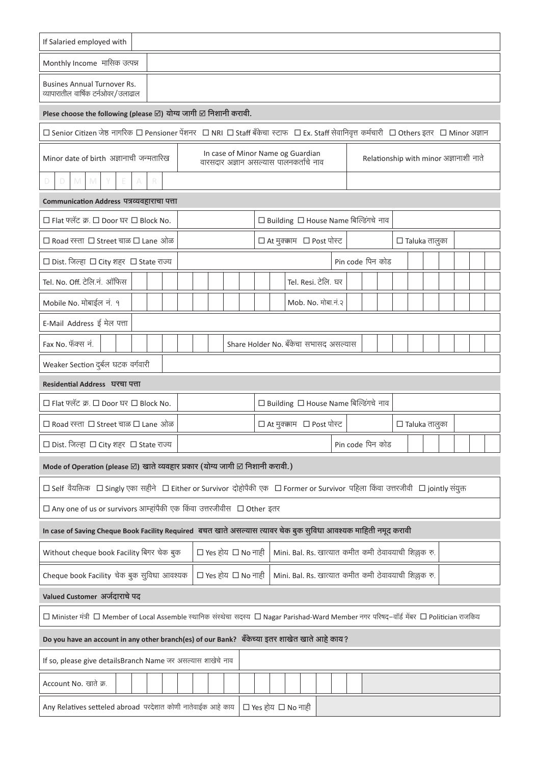| If Salaried employed with                                                                                                                                        |                                                             |  |  |                                                      |                  |  |                      |  |  |  |  |
|------------------------------------------------------------------------------------------------------------------------------------------------------------------|-------------------------------------------------------------|--|--|------------------------------------------------------|------------------|--|----------------------|--|--|--|--|
| Monthly Income मासिक उत्पन्न                                                                                                                                     |                                                             |  |  |                                                      |                  |  |                      |  |  |  |  |
| <b>Busines Annual Turnover Rs.</b><br>व्यापारातील वार्षिक टर्नओवर/उलाढाल                                                                                         |                                                             |  |  |                                                      |                  |  |                      |  |  |  |  |
| Plese choose the following (please $\boxtimes$ ) योग्य जागी $\boxtimes$ निशानी करावी.                                                                            |                                                             |  |  |                                                      |                  |  |                      |  |  |  |  |
| □ Senior Citizen जेष्ठ नागरिक □ Pensioner पेंशनर □ NRI □ Staff बँकेचा स्टाफ □ Ex. Staff सेवानिवृत्त कर्मचारी □ Others इतर □ Minor अज्ञान                         |                                                             |  |  |                                                      |                  |  |                      |  |  |  |  |
| In case of Minor Name og Guardian<br>Minor date of birth अज्ञानाची जन्मतारिख<br>Relationship with minor अज्ञानाशी नाते<br>वारसदार अज्ञान असल्यास पालनकर्ताचे नाव |                                                             |  |  |                                                      |                  |  |                      |  |  |  |  |
| M<br>D<br>M<br>R<br>D<br>A                                                                                                                                       |                                                             |  |  |                                                      |                  |  |                      |  |  |  |  |
| Communication Address पत्रव्यवहाराचा पत्ता                                                                                                                       |                                                             |  |  |                                                      |                  |  |                      |  |  |  |  |
| □ Flat फ्लॅट क्र. □ Door घर □ Block No.                                                                                                                          |                                                             |  |  | □ Building □ House Name बिल्डिंगचे नाव               |                  |  |                      |  |  |  |  |
| $\Box$ Road रस्ता $\Box$ Street चाळ $\Box$ Lane ओळ                                                                                                               |                                                             |  |  | $\Box$ At मुक्क़ाम $\Box$ Post पोस्ट                 |                  |  | $\Box$ Taluka तालुका |  |  |  |  |
| □ Dist. जिल्हा □ City शहर □ State राज्य                                                                                                                          |                                                             |  |  |                                                      | Pin code पिन कोड |  |                      |  |  |  |  |
| Tel. No. Off. टेलि.नं. ऑफिस                                                                                                                                      |                                                             |  |  | Tel. Resi. टेलि. घर                                  |                  |  |                      |  |  |  |  |
| Mobile No. मोबाईल नं. १                                                                                                                                          |                                                             |  |  | Mob. No. मोबा.नं.२                                   |                  |  |                      |  |  |  |  |
| E-Mail Address ई मेल पत्ता                                                                                                                                       |                                                             |  |  |                                                      |                  |  |                      |  |  |  |  |
| Fax No. फॅक्स नं.                                                                                                                                                |                                                             |  |  | Share Holder No. बँकेचा सभासद असल्यास                |                  |  |                      |  |  |  |  |
| Weaker Section दुर्बल घटक वर्गवारी                                                                                                                               |                                                             |  |  |                                                      |                  |  |                      |  |  |  |  |
| Residential Address घरचा पत्ता                                                                                                                                   |                                                             |  |  |                                                      |                  |  |                      |  |  |  |  |
| □ Flat फ्लॅट क्र. □ Door घर □ Block No.                                                                                                                          |                                                             |  |  | $\Box$ Building $\Box$ House Name बिल्डिंगचे नाव     |                  |  |                      |  |  |  |  |
| □ Road रस्ता □ Street चाळ □ Lane ओळ                                                                                                                              |                                                             |  |  | $\Box$ At मुक्क़ाम $\Box$ Post पोस्ट                 |                  |  | $\Box$ Taluka तालुका |  |  |  |  |
| □ Dist. जिल्हा □ City शहर □ State राज्य                                                                                                                          |                                                             |  |  |                                                      | Pin code पिन कोड |  |                      |  |  |  |  |
| Mode of Operation (please $\boxtimes$ ) खाते व्यवहार प्रकार (योग्य जागी $\boxtimes$ निशानी करावी.)                                                               |                                                             |  |  |                                                      |                  |  |                      |  |  |  |  |
| □ Self वैयक्तिक □ Singly एका सहीने □ Either or Survivor दोहोपैकी एक □ Former or Survivor पहिला किंवा उत्तरजीवी □ jointly संयुक्त                                 |                                                             |  |  |                                                      |                  |  |                      |  |  |  |  |
| $\Box$ Any one of us or survivors आम्हांपैकी एक किंवा उत्तरजीवीस $\Box$ Other इतर                                                                                |                                                             |  |  |                                                      |                  |  |                      |  |  |  |  |
| In case of Saving Cheque Book Facility Required   बचत खाते असल्यास त्यावर चेक बुक सुविधा आवश्यक माहिती नमूद करावी                                                |                                                             |  |  |                                                      |                  |  |                      |  |  |  |  |
| Without cheque book Facility बिगर चेक बुक                                                                                                                        | $\square$ Yes होय $\square$ No नाही                         |  |  | Mini. Bal. Rs. खात्यात कमीत कमी ठेवावयाची शिल्लक रु. |                  |  |                      |  |  |  |  |
| Cheque book Facility चेक बुक सुविधा आवश्यक                                                                                                                       | □ Yes होय □ No नाही                                         |  |  | Mini. Bal. Rs. खात्यात कमीत कमी ठेवावयाची शिल्लक रु. |                  |  |                      |  |  |  |  |
| Valued Customer अर्जदाराचे पद                                                                                                                                    |                                                             |  |  |                                                      |                  |  |                      |  |  |  |  |
| □ Minister मंत्री □ Member of Local Assemble स्थानिक संस्थेचा सदस्य □ Nagar Parishad-Ward Member नगर परिषद–वॉर्ड मेंबर □ Politician राजकिय                       |                                                             |  |  |                                                      |                  |  |                      |  |  |  |  |
| Do you have an account in any other branch(es) of our Bank? बँकेच्या इतर शाखेत खाते आहे काय?                                                                     |                                                             |  |  |                                                      |                  |  |                      |  |  |  |  |
|                                                                                                                                                                  | If so, please give detailsBranch Name जर असल्यास शाखेचे नाव |  |  |                                                      |                  |  |                      |  |  |  |  |
| Account No. खाते क्र.                                                                                                                                            |                                                             |  |  |                                                      |                  |  |                      |  |  |  |  |
| $\square$ Yes होय $\square$ No नाही<br>Any Relatives setteled abroad परदेशात कोणी नातेवाईक आहे काय                                                               |                                                             |  |  |                                                      |                  |  |                      |  |  |  |  |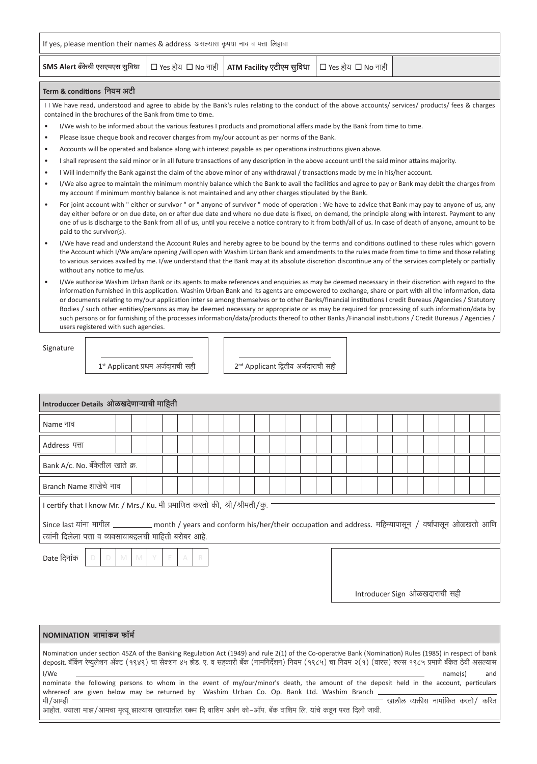| If yes, please mention their names & address असल्यास कृपया नाव व पत्ता लिहावा                                 |  |  |  |  |  |  |  |
|---------------------------------------------------------------------------------------------------------------|--|--|--|--|--|--|--|
| <b>SMS Alert बँकेची एसएमएस सुविधा</b>   □ Yes होय □ No नाही   ATM Facility एटीएम सुविधा   □ Yes होय □ No नाही |  |  |  |  |  |  |  |
| Term & conditions नियम अटी                                                                                    |  |  |  |  |  |  |  |

I I We have read, understood and agree to abide by the Bank's rules relating to the conduct of the above accounts/ services/ products/ fees & charges contained in the brochures of the Bank from time to time.

- I/We wish to be informed about the various features I products and promotional affers made by the Bank from time to time.
- Please issue cheque book and recover charges from my/our account as per norms of the Bank.
- Accounts will be operated and balance along with interest payable as per operationa instructions given above.
- I shall represent the said minor or in all future transactions of any description in the above account until the said minor attains majority.
- I Will indemnify the Bank against the claim of the above minor of any withdrawal / transactions made by me in his/her account.
- I/We also agree to maintain the minimum monthly balance which the Bank to avail the facilities and agree to pay or Bank may debit the charges from my account If minimum monthly balance is not maintained and any other charges stipulated by the Bank.
- For joint account with " either or survivor " or " anyone of survivor " mode of operation : We have to advice that Bank may pay to anyone of us, any day either before or on due date, on or after due date and where no due date is fixed, on demand, the principle along with interest. Payment to any one of us is discharge to the Bank from all of us, until you receive a notice contrary to it from both/all of us. In case of death of anyone, amount to be paid to the survivor(s).
- I/We have read and understand the Account Rules and hereby agree to be bound by the terms and conditions outlined to these rules which govern the Account which I/We am/are opening /will open with Washim Urban Bank and amendments to the rules made from time to time and those relating to various services availed by me. I/we understand that the Bank may at its absolute discretion discontinue any of the services completely or partially without any notice to me/us.
- I/We authorise Washim Urban Bank or its agents to make references and enquiries as may be deemed necessary in their discretion with regard to the information furnished in this application. Washim Urban Bank and its agents are empowered to exchange, share or part with all the information, data or documents relating to my/our application inter se among themselves or to other Banks/financial institutions I credit Bureaus /Agencies / Statutory Bodies / such other entities/persons as may be deemed necessary or appropriate or as may be required for processing of such information/data by such persons or for furnishing of the processes information/data/products thereof to other Banks /Financial institutions / Credit Bureaus / Agencies / users registered with such agencies.

Signature

 $1<sup>st</sup>$  Applicant प्रथम अर्जदाराची सही | |  $2<sup>nd</sup>$  Applicant द्वितीय अर्जदाराची सही

| Introduccer Details ओळखदेणाऱ्याची माहिती                                                                                                                                                           |  |  |  |  |  |  |  |
|----------------------------------------------------------------------------------------------------------------------------------------------------------------------------------------------------|--|--|--|--|--|--|--|
| Name नाव                                                                                                                                                                                           |  |  |  |  |  |  |  |
| Address पत्ता                                                                                                                                                                                      |  |  |  |  |  |  |  |
| Bank A/c. No. बँकेतील खाते क्र.                                                                                                                                                                    |  |  |  |  |  |  |  |
| Branch Name शाखेचे नाव                                                                                                                                                                             |  |  |  |  |  |  |  |
| l certify that I know Mr. / Mrs./ Ku. मी प्रमाणित करतो की, श्री/श्रीमती/कू.                                                                                                                        |  |  |  |  |  |  |  |
| Since last यांना मागील ___________ month / years and conform his/her/their occupation and address. महिन्यापासून / वर्षापासून ओळखतो आणि<br>त्यांनी दिलेला पत्ता व व्यवसायाबद्दलची माहिती बरोबर आहे. |  |  |  |  |  |  |  |
| Date दिनांक  <br>D D M M Y<br>$\mathbb{E}$ .<br>R<br>A                                                                                                                                             |  |  |  |  |  |  |  |

Introducer Sign ओळखदाराची सही

| NOMINATION नामांकन फॉर्म                                                                                                                                                                                                                                                                                               |
|------------------------------------------------------------------------------------------------------------------------------------------------------------------------------------------------------------------------------------------------------------------------------------------------------------------------|
| Nomination under section 45ZA of the Banking Regulation Act (1949) and rule 2(1) of the Co-operative Bank (Nomination) Rules (1985) in respect of bank<br>deposit. बँकिंग रेग्यूलेशन ॲक्ट (१९४९) चा सेक्शन ४५ झेड. ए. व सहकारी बँक (नामनिर्देशन) नियम (१९८५) चा नियम २(१) (वारस) रुल्स १९८५ प्रमाणे बँकेत ठेवी असल्यास |
| I/We<br>and<br>name(s)<br>nominate the following persons to whom in the event of my/our/minor's death, the amount of the deposit held in the account, perticulars<br>whrereof are given below may be returned by Washim Urban Co. Op. Bank Ltd. Washim Branch                                                          |
| खालील व्यक्तीस नामांकित करतो / करित<br>मी/आम्ही<br>आहोत. ज्याला माझ/आमचा मृत्यू झाल्यास खात्यातील रक्कम दि वाशिम अर्बन को–ऑप. बँक वाशिम लि. यांचे कडून परत दिली जावी.                                                                                                                                                  |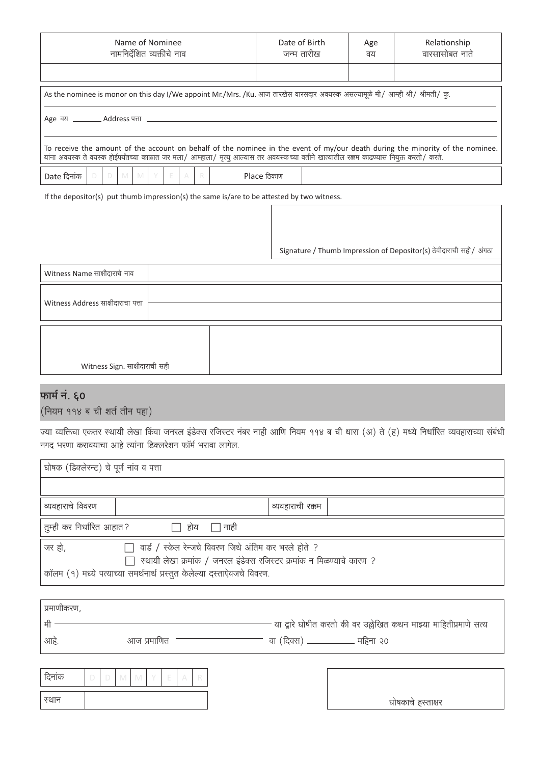| Name of Nominee<br>नामनिर्देशित व्यक्तीचे नाव                                                                                                                                                                                                                               | Date of Birth<br>जन्म तारीख | Age<br>वय | Relationship<br>वारसासोबत नाते |  |  |  |
|-----------------------------------------------------------------------------------------------------------------------------------------------------------------------------------------------------------------------------------------------------------------------------|-----------------------------|-----------|--------------------------------|--|--|--|
|                                                                                                                                                                                                                                                                             |                             |           |                                |  |  |  |
| As the nominee is monor on this day I/We appoint Mr./Mrs. /Ku. आज तारखेस वारसदार अवयस्क असल्यामूळे मी/ आम्ही श्री/ श्रीमती/ कू.                                                                                                                                             |                             |           |                                |  |  |  |
| Age वय ___________ Address पत्ता _________                                                                                                                                                                                                                                  |                             |           |                                |  |  |  |
| To receive the amount of the account on behalf of the nominee in the event of my/our death during the minority of the nominee.<br>यांना अवयस्क ते वयस्क होईपर्यंतच्या काळात जर मला/ आम्हाला/ मृत्यू आल्यास तर अवयस्कच्या वतीने खात्यातील रक्कम काढण्यास नियुक्त करतो/ करते. |                             |           |                                |  |  |  |
| Date दिनांक<br>M I<br>Y<br>- E -<br>$\Box$<br>M .<br>R<br>$\wedge$                                                                                                                                                                                                          | Place ठिकाण                 |           |                                |  |  |  |

If the depositor(s) put thumb impression(s) the same is/are to be attested by two witness.

Signature / Thumb Impression of Depositor(s) ठेवीदाराची सही / अंगठा

| Witness Name साक्षीदाराचे नाव      |  |
|------------------------------------|--|
| Witness Address साक्षीदाराचा पत्ता |  |
|                                    |  |

| Witness Sign. साक्षीदाराची सही |  |
|--------------------------------|--|

## फार्म नं. ६०

(नियम ११४ ब ची शर्त तीन पहा)

ज्या व्यक्तिचा एकतर स्थायी लेखा किंवा जनरल इंडेक्स रजिस्टर नंबर नाही आणि नियम ११४ ब ची धारा (अ) ते (ह) मध्ये निर्धारित व्यवहाराच्या संबंधी नगद भरणा करावयाचा आहे त्यांना डिक्लरेशन फॉर्म भरावा लागेल.

| घोषक (डिक्लेरन्ट) चे पूर्ण नाव व पत्ता                                                                                                                                                                                     |                  |  |  |  |  |  |
|----------------------------------------------------------------------------------------------------------------------------------------------------------------------------------------------------------------------------|------------------|--|--|--|--|--|
|                                                                                                                                                                                                                            |                  |  |  |  |  |  |
| व्यवहाराचे विवरण                                                                                                                                                                                                           | व्यवहाराची रक्कम |  |  |  |  |  |
| तुम्ही कर निर्धारित आहात?<br>∏ होय<br>∏ नाही                                                                                                                                                                               |                  |  |  |  |  |  |
| जर हो,<br>$\Box$ वार्ड / स्केल रेन्जचे विवरण जिथे अंतिम कर भरले होते ?<br>स्थायी लेखा क्रमांक / जनरल इंडेक्स रजिस्टर क्रमांक न मिळण्याचे कारण ?<br>कॉलम (१) मध्ये पत्याच्या समर्थनार्थ प्रस्तुत केलेल्या दस्ताऐवजचे विवरण. |                  |  |  |  |  |  |

| प्रमाणीकरण, |             |                                                                     |
|-------------|-------------|---------------------------------------------------------------------|
|             |             | - या द्वारे घोषीत करतो की वर उल्लेखित कथन माझ्या माहितीप्रमाणे सत्य |
| आहे         | आज प्रमाणित | वा (दिवस) ____________ महिना २०                                     |
|             |             |                                                                     |